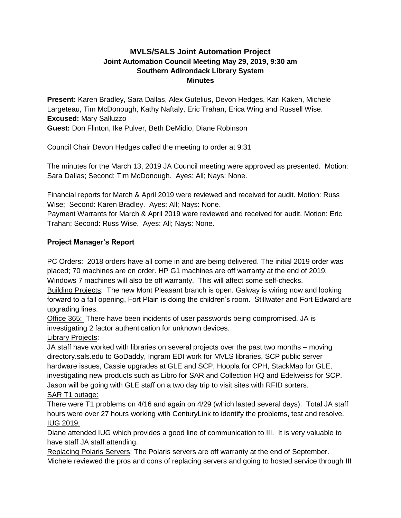# **MVLS/SALS Joint Automation Project Joint Automation Council Meeting May 29, 2019, 9:30 am Southern Adirondack Library System Minutes**

**Present:** Karen Bradley, Sara Dallas, Alex Gutelius, Devon Hedges, Kari Kakeh, Michele Largeteau, Tim McDonough, Kathy Naftaly, Eric Trahan, Erica Wing and Russell Wise. **Excused:** Mary Salluzzo **Guest:** Don Flinton, Ike Pulver, Beth DeMidio, Diane Robinson

Council Chair Devon Hedges called the meeting to order at 9:31

The minutes for the March 13, 2019 JA Council meeting were approved as presented. Motion: Sara Dallas; Second: Tim McDonough. Ayes: All; Nays: None.

Financial reports for March & April 2019 were reviewed and received for audit. Motion: Russ Wise; Second: Karen Bradley. Ayes: All; Nays: None.

Payment Warrants for March & April 2019 were reviewed and received for audit. Motion: Eric Trahan; Second: Russ Wise. Ayes: All; Nays: None.

# **Project Manager's Report**

PC Orders: 2018 orders have all come in and are being delivered. The initial 2019 order was placed; 70 machines are on order. HP G1 machines are off warranty at the end of 2019. Windows 7 machines will also be off warranty. This will affect some self-checks.

Building Projects: The new Mont Pleasant branch is open. Galway is wiring now and looking forward to a fall opening, Fort Plain is doing the children's room. Stillwater and Fort Edward are upgrading lines.

Office 365: There have been incidents of user passwords being compromised. JA is investigating 2 factor authentication for unknown devices.

Library Projects:

JA staff have worked with libraries on several projects over the past two months – moving directory.sals.edu to GoDaddy, Ingram EDI work for MVLS libraries, SCP public server hardware issues, Cassie upgrades at GLE and SCP, Hoopla for CPH, StackMap for GLE, investigating new products such as Libro for SAR and Collection HQ and Edelweiss for SCP. Jason will be going with GLE staff on a two day trip to visit sites with RFID sorters. SAR T1 outage:

There were T1 problems on 4/16 and again on 4/29 (which lasted several days). Total JA staff hours were over 27 hours working with CenturyLink to identify the problems, test and resolve. IUG 2019:

Diane attended IUG which provides a good line of communication to III. It is very valuable to have staff JA staff attending.

Replacing Polaris Servers: The Polaris servers are off warranty at the end of September. Michele reviewed the pros and cons of replacing servers and going to hosted service through III